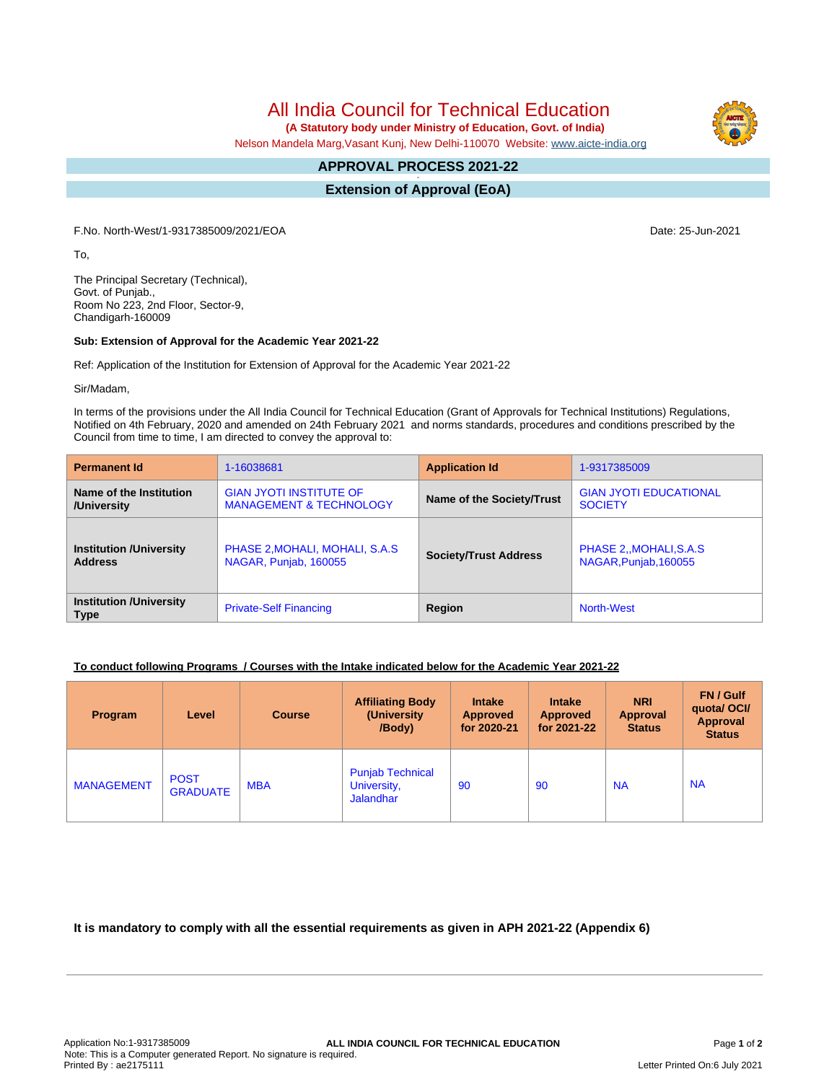All India Council for Technical Education

 **(A Statutory body under Ministry of Education, Govt. of India)**

Nelson Mandela Marg,Vasant Kunj, New Delhi-110070 Website: [www.aicte-india.org](http://www.aicte-india.org)

## **APPROVAL PROCESS 2021-22 -**

**Extension of Approval (EoA)**

F.No. North-West/1-9317385009/2021/EOA Date: 25-Jun-2021

To,

The Principal Secretary (Technical), Govt. of Punjab., Room No 223, 2nd Floor, Sector-9, Chandigarh-160009

## **Sub: Extension of Approval for the Academic Year 2021-22**

Ref: Application of the Institution for Extension of Approval for the Academic Year 2021-22

Sir/Madam,

In terms of the provisions under the All India Council for Technical Education (Grant of Approvals for Technical Institutions) Regulations, Notified on 4th February, 2020 and amended on 24th February 2021 and norms standards, procedures and conditions prescribed by the Council from time to time, I am directed to convey the approval to:

| <b>Permanent Id</b>                           | 1-16038681                         | <b>Application Id</b>        | 1-9317385009                  |  |
|-----------------------------------------------|------------------------------------|------------------------------|-------------------------------|--|
| Name of the Institution                       | <b>GIAN JYOTI INSTITUTE OF</b>     | Name of the Society/Trust    | <b>GIAN JYOTI EDUCATIONAL</b> |  |
| /University                                   | <b>MANAGEMENT &amp; TECHNOLOGY</b> |                              | <b>SOCIETY</b>                |  |
| <b>Institution /University</b>                | PHASE 2, MOHALI, MOHALI, S.A.S     | <b>Society/Trust Address</b> | PHASE 2, MOHALI, S.A.S        |  |
| <b>Address</b>                                | NAGAR, Punjab, 160055              |                              | NAGAR, Punjab, 160055         |  |
| <b>Institution /University</b><br><b>Type</b> | <b>Private-Self Financing</b>      | Region                       | North-West                    |  |

## **To conduct following Programs / Courses with the Intake indicated below for the Academic Year 2021-22**

| Program           | Level                          | <b>Course</b> | <b>Affiliating Body</b><br>(University)<br>/Body)          | <b>Intake</b><br><b>Approved</b><br>for 2020-21 | <b>Intake</b><br><b>Approved</b><br>for 2021-22 | <b>NRI</b><br><b>Approval</b><br><b>Status</b> | FN / Gulf<br>quotal OCI/<br>Approval<br><b>Status</b> |
|-------------------|--------------------------------|---------------|------------------------------------------------------------|-------------------------------------------------|-------------------------------------------------|------------------------------------------------|-------------------------------------------------------|
| <b>MANAGEMENT</b> | <b>POST</b><br><b>GRADUATE</b> | <b>MBA</b>    | <b>Punjab Technical</b><br>University,<br><b>Jalandhar</b> | 90                                              | 90                                              | <b>NA</b>                                      | <b>NA</b>                                             |

**It is mandatory to comply with all the essential requirements as given in APH 2021-22 (Appendix 6)**